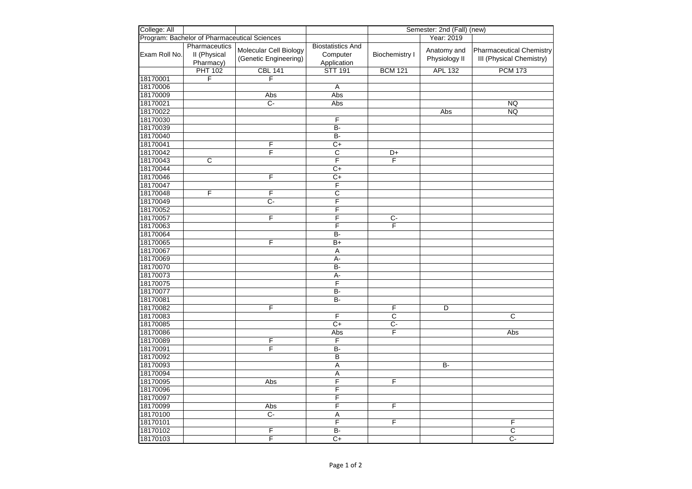| College: All  |                                              |                        |                          |                         | Semester: 2nd (Fall) (new) |                          |
|---------------|----------------------------------------------|------------------------|--------------------------|-------------------------|----------------------------|--------------------------|
|               | Program: Bachelor of Pharmaceutical Sciences |                        |                          |                         | Year: 2019                 |                          |
|               | Pharmaceutics                                |                        | <b>Biostatistics And</b> |                         |                            |                          |
| Exam Roll No. | II (Physical                                 | Molecular Cell Biology | Computer                 | <b>Biochemistry I</b>   | Anatomy and                | Pharmaceutical Chemistry |
|               | Pharmacy)                                    | (Genetic Engineering)  | Application              |                         | Physiology II              | III (Physical Chemistry) |
|               | <b>PHT 102</b>                               | <b>CBL 141</b>         | <b>STT 191</b>           | <b>BCM 121</b>          | <b>APL 132</b>             | <b>PCM 173</b>           |
| 18170001      | F                                            | F                      |                          |                         |                            |                          |
| 18170006      |                                              |                        | Α                        |                         |                            |                          |
| 18170009      |                                              | Abs                    | Abs                      |                         |                            |                          |
| 18170021      |                                              | $C -$                  | Abs                      |                         |                            | <b>NQ</b>                |
| 18170022      |                                              |                        |                          |                         | Abs                        | <b>NQ</b>                |
| 18170030      |                                              |                        | F                        |                         |                            |                          |
| 18170039      |                                              |                        | $B -$                    |                         |                            |                          |
| 18170040      |                                              |                        | <b>B-</b>                |                         |                            |                          |
| 18170041      |                                              | F                      | $\overline{C+}$          |                         |                            |                          |
| 18170042      |                                              | F                      | $\overline{c}$           | $D+$                    |                            |                          |
| 18170043      | $\overline{\mathsf{c}}$                      |                        | $\overline{\mathsf{F}}$  | F                       |                            |                          |
| 18170044      |                                              |                        | $\overline{C+}$          |                         |                            |                          |
| 18170046      |                                              | F                      | C+                       |                         |                            |                          |
| 18170047      |                                              |                        | $\overline{\mathsf{F}}$  |                         |                            |                          |
| 18170048      | F                                            | F                      | $\overline{\mathsf{c}}$  |                         |                            |                          |
| 18170049      |                                              | $C -$                  | F                        |                         |                            |                          |
| 18170052      |                                              |                        | F                        |                         |                            |                          |
| 18170057      |                                              | F                      | F                        | $\overline{C}$          |                            |                          |
| 18170063      |                                              |                        | F                        | $\overline{F}$          |                            |                          |
| 18170064      |                                              |                        | B-                       |                         |                            |                          |
| 18170065      |                                              | F                      | $\overline{B+}$          |                         |                            |                          |
| 18170067      |                                              |                        | A                        |                         |                            |                          |
| 18170069      |                                              |                        | А-                       |                         |                            |                          |
| 18170070      |                                              |                        | $B -$                    |                         |                            |                          |
| 18170073      |                                              |                        | А-                       |                         |                            |                          |
| 18170075      |                                              |                        | F                        |                         |                            |                          |
| 18170077      |                                              |                        | <b>B-</b>                |                         |                            |                          |
| 18170081      |                                              |                        | B-                       |                         |                            |                          |
| 18170082      |                                              | F                      |                          | F                       | D                          |                          |
| 18170083      |                                              |                        | F                        | $\overline{\mathsf{c}}$ |                            | $\overline{\mathsf{c}}$  |
| 18170085      |                                              |                        | $\overline{C+}$          | $\overline{C}$ -        |                            |                          |
| 18170086      |                                              |                        | Abs                      | F                       |                            | Abs                      |
| 18170089      |                                              | F                      | F                        |                         |                            |                          |
| 18170091      |                                              | $\overline{F}$         | $B -$                    |                         |                            |                          |
| 18170092      |                                              |                        | B                        |                         |                            |                          |
| 18170093      |                                              |                        | $\overline{A}$           |                         | $\overline{B}$             |                          |
| 18170094      |                                              |                        | $\overline{A}$           |                         |                            |                          |
| 18170095      |                                              | Abs                    | F                        | F                       |                            |                          |
| 18170096      |                                              |                        | F                        |                         |                            |                          |
| 18170097      |                                              |                        | F                        |                         |                            |                          |
| 18170099      |                                              | Abs                    | F                        | F                       |                            |                          |
| 18170100      |                                              | $\overline{C}$         | $\overline{A}$           |                         |                            |                          |
| 18170101      |                                              |                        | $\overline{F}$           | F                       |                            | F                        |
| 18170102      |                                              | F                      | $\overline{B}$           |                         |                            | $\overline{\mathsf{c}}$  |
| 18170103      |                                              | F                      | $C+$                     |                         |                            | C-                       |
|               |                                              |                        |                          |                         |                            |                          |